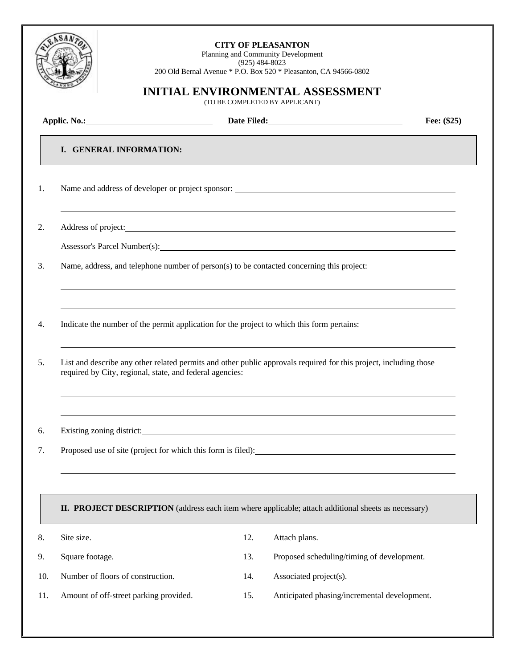

## **CITY OF PLEASANTON**

Planning and Community Development (925) 484-8023 200 Old Bernal Avenue \* P.O. Box 520 \* Pleasanton, CA 94566-0802

## **INITIAL ENVIRONMENTAL ASSESSMENT**

(TO BE COMPLETED BY APPLICANT)

|     |                                                                                            | Date Filed: No. 1996 |                                                                                                                                                                                                                                | Fee: (\$25) |
|-----|--------------------------------------------------------------------------------------------|----------------------|--------------------------------------------------------------------------------------------------------------------------------------------------------------------------------------------------------------------------------|-------------|
|     | I. GENERAL INFORMATION:                                                                    |                      |                                                                                                                                                                                                                                |             |
| 1.  |                                                                                            |                      | Name and address of developer or project sponsor: Name and address of developer or project sponsor:                                                                                                                            |             |
| 2.  |                                                                                            |                      |                                                                                                                                                                                                                                |             |
|     |                                                                                            |                      |                                                                                                                                                                                                                                |             |
| 3.  | Name, address, and telephone number of person(s) to be contacted concerning this project:  |                      |                                                                                                                                                                                                                                |             |
| 4.  | Indicate the number of the permit application for the project to which this form pertains: |                      | ,我们也不会有什么。""我们的人,我们也不会有什么?""我们的人,我们也不会有什么?""我们的人,我们也不会有什么?""我们的人,我们也不会有什么?""我们的人                                                                                                                                               |             |
|     | required by City, regional, state, and federal agencies:                                   |                      | List and describe any other related permits and other public approvals required for this project, including those<br>,我们也不会有什么。""我们的人,我们也不会有什么?""我们的人,我们也不会有什么?""我们的人,我们也不会有什么?""我们的人,我们也不会有什么?""我们的人                          |             |
|     |                                                                                            |                      | Existing zoning district: No. 2016. The set of the set of the set of the set of the set of the set of the set of the set of the set of the set of the set of the set of the set of the set of the set of the set of the set of |             |
|     |                                                                                            |                      |                                                                                                                                                                                                                                |             |
|     |                                                                                            |                      | II. PROJECT DESCRIPTION (address each item where applicable; attach additional sheets as necessary)                                                                                                                            |             |
|     | Site size.                                                                                 | 12.                  | Attach plans.                                                                                                                                                                                                                  |             |
|     | Square footage.                                                                            | 13.                  | Proposed scheduling/timing of development.                                                                                                                                                                                     |             |
| 10. | Number of floors of construction.                                                          | 14.                  | Associated project(s).                                                                                                                                                                                                         |             |
| 11. | Amount of off-street parking provided.                                                     | 15.                  | Anticipated phasing/incremental development.                                                                                                                                                                                   |             |